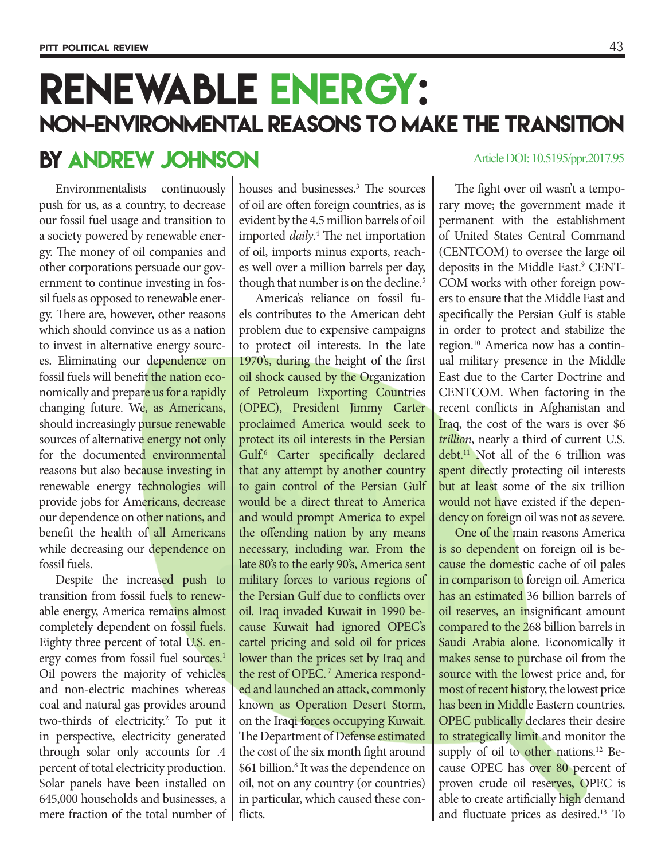## Renewable energy: non-environmental reasons to make the transition

## BY ANDREW JOHNSON Article DOI: 10.5195/ppr.2017.95

Environmentalists continuously push for us, as a country, to decrease our fossil fuel usage and transition to a society powered by renewable energy. The money of oil companies and other corporations persuade our government to continue investing in fossil fuels as opposed to renewable energy. There are, however, other reasons which should convince us as a nation to invest in alternative energy sources. Eliminating our dependence on fossil fuels will benefit the nation economically and prepare us for a rapidly changing future. We, as Americans, should increasingly pursue renewable sources of alternative energy not only for the documented environmental reasons but also because investing in renewable energy technologies will provide jobs for Americans, decrease our dependence on other nations, and benefit the health of all Americans while decreasing our dependence on fossil fuels.

Despite the increased push to transition from fossil fuels to renewable energy, America remains almost completely dependent on fossil fuels. Eighty three percent of total U.S. energy comes from fossil fuel sources.<sup>1</sup> Oil powers the majority of vehicles and non-electric machines whereas coal and natural gas provides around two-thirds of electricity.<sup>2</sup> To put it in perspective, electricity generated through solar only accounts for .4 percent of total electricity production. Solar panels have been installed on 645,000 households and businesses, a mere fraction of the total number of

houses and businesses.3 The sources of oil are often foreign countries, as is evident by the 4.5 million barrels of oil imported *daily*. 4 The net importation of oil, imports minus exports, reaches well over a million barrels per day, though that number is on the decline.<sup>5</sup>

America's reliance on fossil fuels contributes to the American debt problem due to expensive campaigns to protect oil interests. In the late 1970's, during the height of the first oil shock caused by the Organization of Petroleum Exporting Countries (OPEC), President Jimmy Carter proclaimed America would seek to protect its oil interests in the Persian Gulf.<sup>6</sup> Carter specifically declared that any attempt by another country to gain control of the Persian Gulf would be a direct threat to America and would prompt America to expel the offending nation by any means necessary, including war. From the late 80's to the early 90's, America sent military forces to various regions of the Persian Gulf due to conflicts over oil. Iraq invaded Kuwait in 1990 because Kuwait had ignored OPEC's cartel pricing and sold oil for prices lower than the prices set by Iraq and the rest of OPEC.<sup>7</sup> America responded and launched an attack, commonly known as Operation Desert Storm, on the Iraqi forces occupying Kuwait. The Department of Defense estimated the cost of the six month fight around \$61 billion.<sup>8</sup> It was the dependence on oil, not on any country (or countries) in particular, which caused these conflicts.

The fight over oil wasn't a temporary move; the government made it permanent with the establishment of United States Central Command (CENTCOM) to oversee the large oil deposits in the Middle East.<sup>9</sup> CENT-COM works with other foreign powers to ensure that the Middle East and specifically the Persian Gulf is stable in order to protect and stabilize the region.10 America now has a continual military presence in the Middle East due to the Carter Doctrine and CENTCOM. When factoring in the recent conflicts in Afghanistan and Iraq, the cost of the wars is over \$6 *trillion*, nearly a third of current U.S. debt.11 Not all of the 6 trillion was spent directly protecting oil interests but at least some of the six trillion would not have existed if the dependency on foreign oil was not as severe.

One of the main reasons America is so dependent on foreign oil is because the domestic cache of oil pales in comparison to foreign oil. America has an estimated 36 billion barrels of oil reserves, an insignificant amount compared to the 268 billion barrels in Saudi Arabia alone. Economically it makes sense to purchase oil from the source with the lowest price and, for most of recent history, the lowest price has been in Middle Eastern countries. OPEC publically declares their desire to strategically limit and monitor the supply of oil to other nations.<sup>12</sup> Because OPEC has over 80 percent of proven crude oil reserves, OPEC is able to create artificially high demand and fluctuate prices as desired.13 To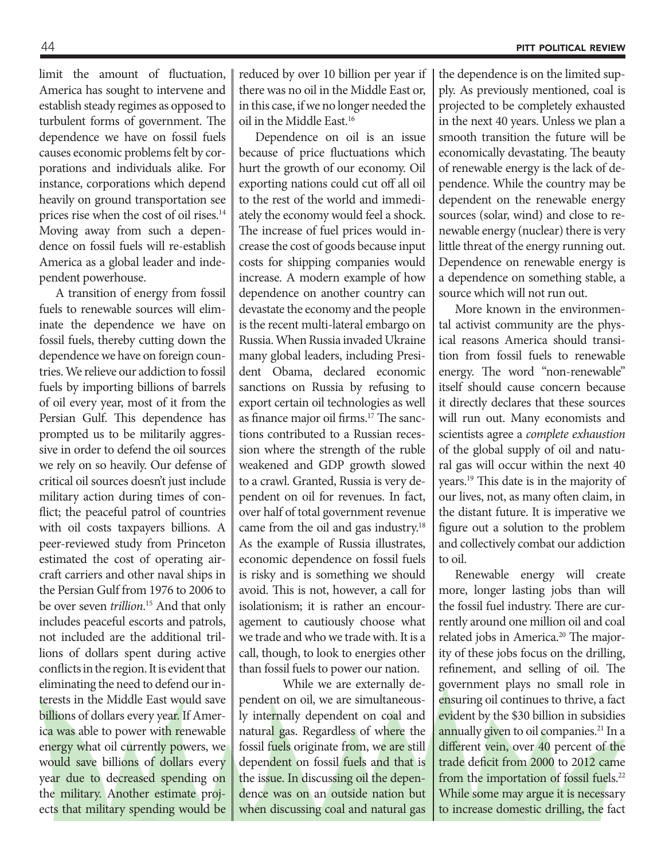limit the amount of fluctuation, America has sought to intervene and establish steady regimes as opposed to turbulent forms of government. The dependence we have on fossil fuels causes economic problems felt by corporations and individuals alike. For instance, corporations which depend heavily on ground transportation see prices rise when the cost of oil rises.<sup>14</sup> Moving away from such a dependence on fossil fuels will re-establish America as a global leader and independent powerhouse.

A transition of energy from fossil fuels to renewable sources will eliminate the dependence we have on fossil fuels, thereby cutting down the dependence we have on foreign countries. We relieve our addiction to fossil fuels by importing billions of barrels of oil every year, most of it from the Persian Gulf. This dependence has prompted us to be militarily aggressive in order to defend the oil sources we rely on so heavily. Our defense of critical oil sources doesn't just include military action during times of conflict; the peaceful patrol of countries with oil costs taxpayers billions. A peer-reviewed study from Princeton estimated the cost of operating aircraft carriers and other naval ships in the Persian Gulf from 1976 to 2006 to be over seven *trillion*. 15 And that only includes peaceful escorts and patrols, not included are the additional trillions of dollars spent during active conflicts in the region. It is evident that eliminating the need to defend our interests in the Middle East would save billions of dollars every year. If America was able to power with renewable energy what oil currently powers, we would save billions of dollars every year due to decreased spending on the military. Another estimate projects that military spending would be reduced by over 10 billion per year if there was no oil in the Middle East or, in this case, if we no longer needed the oil in the Middle East.16

Dependence on oil is an issue because of price fluctuations which hurt the growth of our economy. Oil exporting nations could cut off all oil to the rest of the world and immediately the economy would feel a shock. The increase of fuel prices would increase the cost of goods because input costs for shipping companies would increase. A modern example of how dependence on another country can devastate the economy and the people is the recent multi-lateral embargo on Russia. When Russia invaded Ukraine many global leaders, including President Obama, declared economic sanctions on Russia by refusing to export certain oil technologies as well as finance major oil firms.<sup>17</sup> The sanctions contributed to a Russian recession where the strength of the ruble weakened and GDP growth slowed to a crawl. Granted, Russia is very dependent on oil for revenues. In fact, over half of total government revenue came from the oil and gas industry.<sup>18</sup> As the example of Russia illustrates, economic dependence on fossil fuels is risky and is something we should avoid. This is not, however, a call for isolationism; it is rather an encouragement to cautiously choose what we trade and who we trade with. It is a call, though, to look to energies other than fossil fuels to power our nation.

 While we are externally dependent on oil, we are simultaneously internally dependent on coal and natural gas. Regardless of where the fossil fuels originate from, we are still dependent on fossil fuels and that is the issue. In discussing oil the dependence was on an outside nation but when discussing coal and natural gas the dependence is on the limited supply. As previously mentioned, coal is projected to be completely exhausted in the next 40 years. Unless we plan a smooth transition the future will be economically devastating. The beauty of renewable energy is the lack of dependence. While the country may be dependent on the renewable energy sources (solar, wind) and close to renewable energy (nuclear) there is very little threat of the energy running out. Dependence on renewable energy is a dependence on something stable, a source which will not run out.

More known in the environmental activist community are the physical reasons America should transition from fossil fuels to renewable energy. The word "non-renewable" itself should cause concern because it directly declares that these sources will run out. Many economists and scientists agree a *complete exhaustion*  of the global supply of oil and natural gas will occur within the next 40 years.19 This date is in the majority of our lives, not, as many often claim, in the distant future. It is imperative we figure out a solution to the problem and collectively combat our addiction to oil.

Renewable energy will create more, longer lasting jobs than will the fossil fuel industry. There are currently around one million oil and coal related jobs in America.20 The majority of these jobs focus on the drilling, refinement, and selling of oil. The government plays no small role in ensuring oil continues to thrive, a fact evident by the \$30 billion in subsidies annually given to oil companies.<sup>21</sup> In a different vein, over 40 percent of the trade deficit from 2000 to 2012 came from the importation of fossil fuels.<sup>22</sup> While some may argue it is necessary to increase domestic drilling, the fact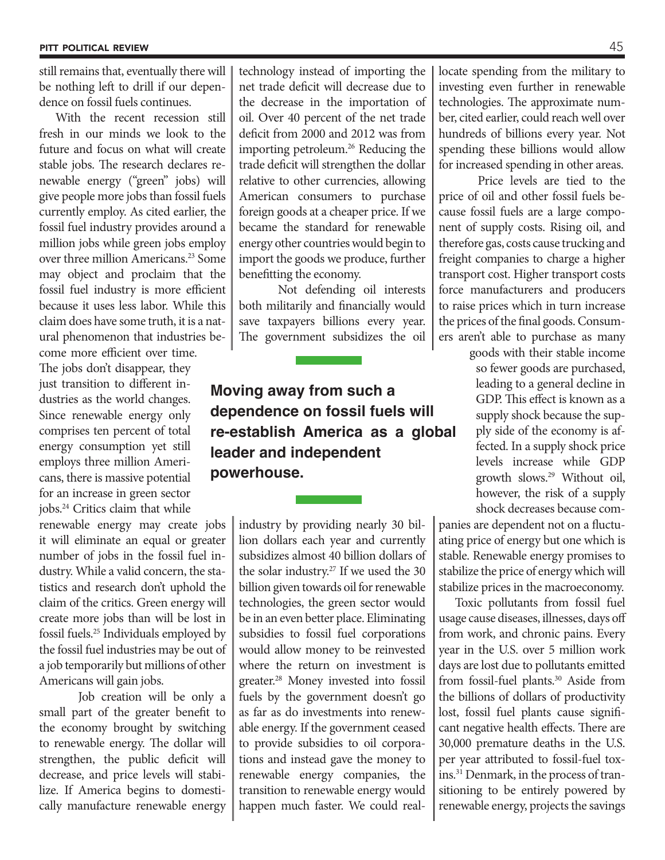still remains that, eventually there will be nothing left to drill if our dependence on fossil fuels continues.

With the recent recession still fresh in our minds we look to the future and focus on what will create stable jobs. The research declares renewable energy ("green" jobs) will give people more jobs than fossil fuels currently employ. As cited earlier, the fossil fuel industry provides around a million jobs while green jobs employ over three million Americans.<sup>23</sup> Some may object and proclaim that the fossil fuel industry is more efficient because it uses less labor. While this claim does have some truth, it is a natural phenomenon that industries become more efficient over time.

The jobs don't disappear, they just transition to different industries as the world changes. Since renewable energy only comprises ten percent of total energy consumption yet still employs three million Americans, there is massive potential for an increase in green sector jobs.24 Critics claim that while

renewable energy may create jobs it will eliminate an equal or greater number of jobs in the fossil fuel industry. While a valid concern, the statistics and research don't uphold the claim of the critics. Green energy will create more jobs than will be lost in fossil fuels.25 Individuals employed by the fossil fuel industries may be out of a job temporarily but millions of other Americans will gain jobs.

Job creation will be only a small part of the greater benefit to the economy brought by switching to renewable energy. The dollar will strengthen, the public deficit will decrease, and price levels will stabilize. If America begins to domestically manufacture renewable energy

technology instead of importing the net trade deficit will decrease due to the decrease in the importation of oil. Over 40 percent of the net trade deficit from 2000 and 2012 was from importing petroleum.26 Reducing the trade deficit will strengthen the dollar relative to other currencies, allowing American consumers to purchase foreign goods at a cheaper price. If we became the standard for renewable energy other countries would begin to import the goods we produce, further benefitting the economy.

Not defending oil interests both militarily and financially would save taxpayers billions every year. The government subsidizes the oil

**Moving away from such a dependence on fossil fuels will re-establish America as a global leader and independent powerhouse.**

> industry by providing nearly 30 billion dollars each year and currently subsidizes almost 40 billion dollars of the solar industry.27 If we used the 30 billion given towards oil for renewable technologies, the green sector would be in an even better place. Eliminating subsidies to fossil fuel corporations would allow money to be reinvested where the return on investment is greater.28 Money invested into fossil fuels by the government doesn't go as far as do investments into renewable energy. If the government ceased to provide subsidies to oil corporations and instead gave the money to renewable energy companies, the transition to renewable energy would happen much faster. We could real

locate spending from the military to investing even further in renewable technologies. The approximate number, cited earlier, could reach well over hundreds of billions every year. Not spending these billions would allow for increased spending in other areas.

Price levels are tied to the price of oil and other fossil fuels because fossil fuels are a large component of supply costs. Rising oil, and therefore gas, costs cause trucking and freight companies to charge a higher transport cost. Higher transport costs force manufacturers and producers to raise prices which in turn increase the prices of the final goods. Consumers aren't able to purchase as many

> goods with their stable income so fewer goods are purchased, leading to a general decline in GDP. This effect is known as a supply shock because the supply side of the economy is affected. In a supply shock price levels increase while GDP growth slows.29 Without oil, however, the risk of a supply shock decreases because com-

panies are dependent not on a fluctuating price of energy but one which is stable. Renewable energy promises to stabilize the price of energy which will stabilize prices in the macroeconomy.

Toxic pollutants from fossil fuel usage cause diseases, illnesses, days off from work, and chronic pains. Every year in the U.S. over 5 million work days are lost due to pollutants emitted from fossil-fuel plants.30 Aside from the billions of dollars of productivity lost, fossil fuel plants cause significant negative health effects. There are 30,000 premature deaths in the U.S. per year attributed to fossil-fuel toxins.31 Denmark, in the process of transitioning to be entirely powered by renewable energy, projects the savings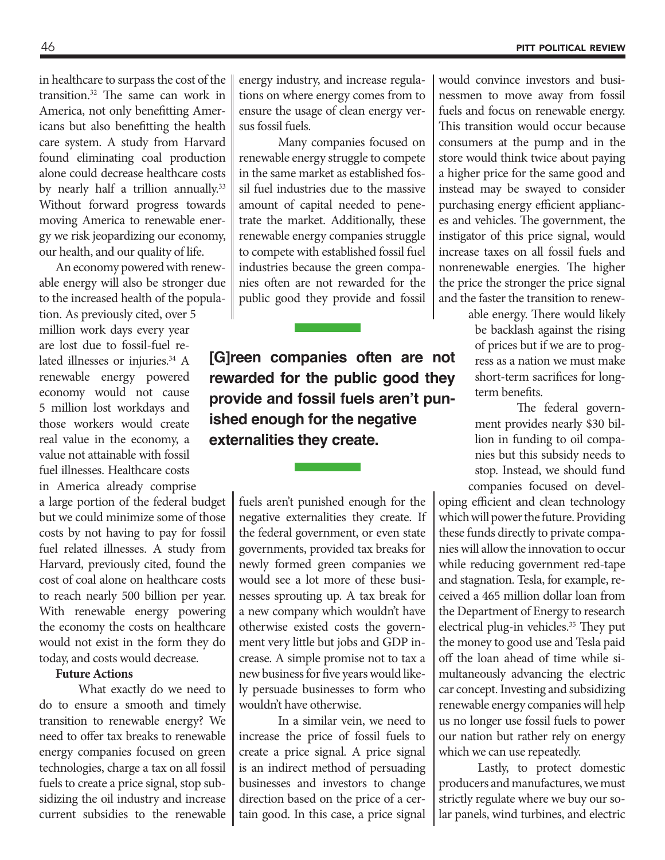in healthcare to surpass the cost of the transition.32 The same can work in America, not only benefitting Americans but also benefitting the health care system. A study from Harvard found eliminating coal production alone could decrease healthcare costs by nearly half a trillion annually.<sup>33</sup> Without forward progress towards moving America to renewable energy we risk jeopardizing our economy, our health, and our quality of life.

An economy powered with renewable energy will also be stronger due to the increased health of the popula-

tion. As previously cited, over 5 million work days every year are lost due to fossil-fuel related illnesses or injuries.<sup>34</sup> A renewable energy powered economy would not cause 5 million lost workdays and those workers would create real value in the economy, a value not attainable with fossil fuel illnesses. Healthcare costs in America already comprise

a large portion of the federal budget but we could minimize some of those costs by not having to pay for fossil fuel related illnesses. A study from Harvard, previously cited, found the cost of coal alone on healthcare costs to reach nearly 500 billion per year. With renewable energy powering the economy the costs on healthcare would not exist in the form they do today, and costs would decrease.

## **Future Actions**

What exactly do we need to do to ensure a smooth and timely transition to renewable energy? We need to offer tax breaks to renewable energy companies focused on green technologies, charge a tax on all fossil fuels to create a price signal, stop subsidizing the oil industry and increase current subsidies to the renewable

energy industry, and increase regulations on where energy comes from to ensure the usage of clean energy versus fossil fuels.

Many companies focused on renewable energy struggle to compete in the same market as established fossil fuel industries due to the massive amount of capital needed to penetrate the market. Additionally, these renewable energy companies struggle to compete with established fossil fuel industries because the green companies often are not rewarded for the public good they provide and fossil

**[G]reen companies often are not rewarded for the public good they provide and fossil fuels aren't punished enough for the negative externalities they create.**

> fuels aren't punished enough for the negative externalities they create. If the federal government, or even state governments, provided tax breaks for newly formed green companies we would see a lot more of these businesses sprouting up. A tax break for a new company which wouldn't have otherwise existed costs the government very little but jobs and GDP increase. A simple promise not to tax a new business for five years would likely persuade businesses to form who wouldn't have otherwise.

> In a similar vein, we need to increase the price of fossil fuels to create a price signal. A price signal is an indirect method of persuading businesses and investors to change direction based on the price of a certain good. In this case, a price signal

would convince investors and businessmen to move away from fossil fuels and focus on renewable energy. This transition would occur because consumers at the pump and in the store would think twice about paying a higher price for the same good and instead may be swayed to consider purchasing energy efficient appliances and vehicles. The government, the instigator of this price signal, would increase taxes on all fossil fuels and nonrenewable energies. The higher the price the stronger the price signal and the faster the transition to renew-

> able energy. There would likely be backlash against the rising of prices but if we are to progress as a nation we must make short-term sacrifices for longterm benefits.

> The federal government provides nearly \$30 billion in funding to oil companies but this subsidy needs to stop. Instead, we should fund companies focused on devel-

oping efficient and clean technology which will power the future. Providing these funds directly to private companies will allow the innovation to occur while reducing government red-tape and stagnation. Tesla, for example, received a 465 million dollar loan from the Department of Energy to research electrical plug-in vehicles.<sup>35</sup> They put the money to good use and Tesla paid off the loan ahead of time while simultaneously advancing the electric car concept. Investing and subsidizing renewable energy companies will help us no longer use fossil fuels to power our nation but rather rely on energy which we can use repeatedly.

Lastly, to protect domestic producers and manufactures, we must strictly regulate where we buy our solar panels, wind turbines, and electric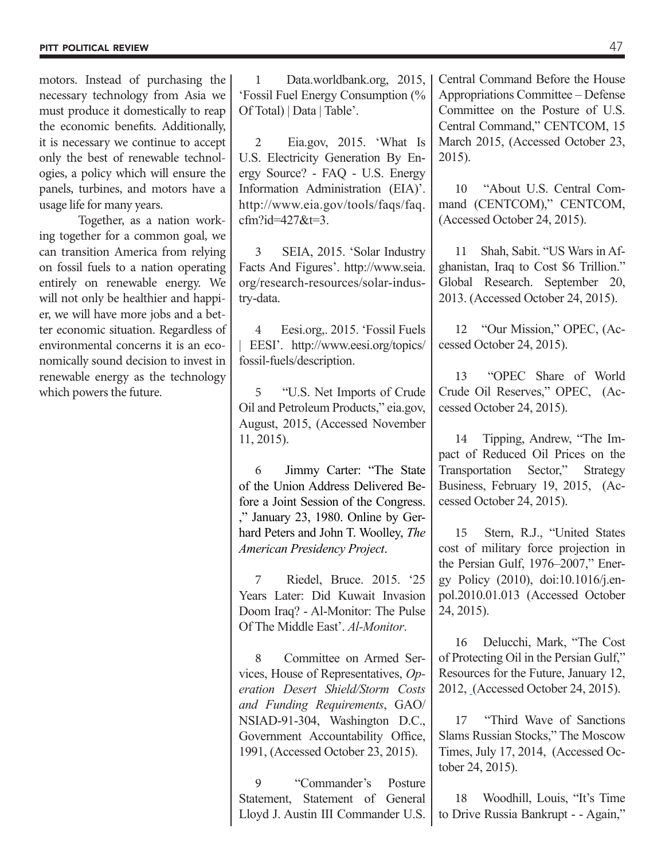motors. Instead of purchasing the necessary technology from Asia we must produce it domestically to reap the economic benefits. Additionally, it is necessary we continue to accept only the best of renewable technologies, a policy which will ensure the panels, turbines, and motors have a usage life for many years.

Together, as a nation working together for a common goal, we can transition America from relying on fossil fuels to a nation operating entirely on renewable energy. We will not only be healthier and happier, we will have more jobs and a better economic situation. Regardless of environmental concerns it is an economically sound decision to invest in renewable energy as the technology which powers the future.

1 Data.worldbank.org, 2015, 'Fossil Fuel Energy Consumption (% Of Total) | Data | Table'.

2 Eia.gov, 2015. 'What Is U.S. Electricity Generation By Energy Source? - FAQ - U.S. Energy Information Administration (EIA)'. http://www.eia.gov/tools/faqs/faq. cfm?id=427&t=3.

3 SEIA, 2015. 'Solar Industry Facts And Figures'. http://www.seia. org/research-resources/solar-industry-data.

4 Eesi.org,. 2015. 'Fossil Fuels | EESI'. http://www.eesi.org/topics/ fossil-fuels/description.

5 "U.S. Net Imports of Crude Oil and Petroleum Products," eia.gov, August, 2015, (Accessed November 11, 2015).

6 Jimmy Carter: "The State of the Union Address Delivered Before a Joint Session of the Congress. ," January 23, 1980. Online by Gerhard Peters and John T. Woolley, *The American Presidency Project*.

7 Riedel, Bruce. 2015. '25 Years Later: Did Kuwait Invasion Doom Iraq? - Al-Monitor: The Pulse Of The Middle East'. *Al-Monitor*.

8 Committee on Armed Services, House of Representatives, *Operation Desert Shield/Storm Costs and Funding Requirements*, GAO/ NSIAD-91-304, Washington D.C., Government Accountability Office, 1991, (Accessed October 23, 2015).

9 "Commander's Posture Statement, Statement of General Lloyd J. Austin III Commander U.S. Central Command Before the House Appropriations Committee – Defense Committee on the Posture of U.S. Central Command," CENTCOM, 15 March 2015, (Accessed October 23, 2015).

10 "About U.S. Central Command (CENTCOM)," CENTCOM, (Accessed October 24, 2015).

11 Shah, Sabit. "US Wars in Afghanistan, Iraq to Cost \$6 Trillion." Global Research. September 20, 2013. (Accessed October 24, 2015).

12 "Our Mission," OPEC, (Accessed October 24, 2015).

13 "OPEC Share of World Crude Oil Reserves," OPEC, (Accessed October 24, 2015).

14 Tipping, Andrew, "The Impact of Reduced Oil Prices on the Transportation Sector," Strategy Business, February 19, 2015, (Accessed October 24, 2015).

15 Stern, R.J., "United States cost of military force projection in the Persian Gulf, 1976–2007," Energy Policy (2010), doi:10.1016/j.enpol.2010.01.013 (Accessed October 24, 2015).

16 Delucchi, Mark, "The Cost of Protecting Oil in the Persian Gulf," Resources for the Future, January 12, 2012, (Accessed October 24, 2015).

17 "Third Wave of Sanctions Slams Russian Stocks," The Moscow Times, July 17, 2014, (Accessed October 24, 2015).

18 Woodhill, Louis, "It's Time to Drive Russia Bankrupt - - Again,"